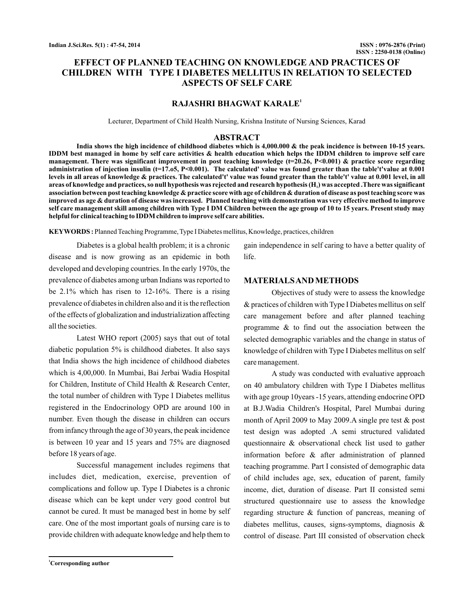# **EFFECT OF PLANNED TEACHING ON KNOWLEDGE AND PRACTICES OF CHILDREN WITH TYPE I DIABETES MELLITUS IN RELATION TO SELECTED ASPECTS OF SELF CARE**

### **RAJASHRI BHAGWAT KARALE<sup>1</sup>**

Lecturer, Department of Child Health Nursing, Krishna Institute of Nursing Sciences, Karad

#### **ABSTRACT**

**India shows the high incidence of childhood diabetes which is 4,000.000 & the peak incidence is between 10-15 years. IDDM best managed in home by self care activities & health education which helps the IDDM children to improve self care management. There was significant improvement in post teaching knowledge (t=20.26, P<0.001) & practice score regarding administration of injection insulin (t=17.o5, P<0.001). The calculated' value was found greater than the table't'value at 0.001 levels in all areas of knowledge & practices. The calculated't' value was found greater than the table't' value at 0.001 level, in all** areas of knowledge and practices, so null hypothesis was rejected and research hypothesis (H<sub>1</sub>) was accepted .There was significant **association between post teaching knowledge & practice score with age of children & duration of disease as post teaching score was improved as age & duration of disease was increased. Planned teaching with demonstration was very effective method to improve self care management skill among children with Type I DM Children between the age group of 10 to 15 years. Present study may helpful for clinical teaching to IDDM children to improve self care abilities.**

**KEYWORDS :** Planned Teaching Programme, Type I Diabetes mellitus, Knowledge, practices, children

Diabetes is a global health problem; it is a chronic disease and is now growing as an epidemic in both developed and developing countries. In the early 1970s, the prevalence of diabetes among urban Indians was reported to be 2.1% which has risen to 12-16%. There is a rising prevalence of diabetes in children also and it is the reflection of the effects of globalization and industrialization affecting all the societies.

Latest WHO report (2005) says that out of total diabetic population 5% is childhood diabetes. It also says that India shows the high incidence of childhood diabetes which is 4,00,000. In Mumbai, Bai Jerbai Wadia Hospital for Children, Institute of Child Health & Research Center, the total number of children with Type I Diabetes mellitus registered in the Endocrinology OPD are around 100 in number. Even though the disease in children can occurs from infancy through the age of 30 years, the peak incidence is between 10 year and 15 years and 75% are diagnosed before 18 years of age.

Successful management includes regimens that includes diet, medication, exercise, prevention of complications and follow up. Type I Diabetes is a chronic disease which can be kept under very good control but cannot be cured. It must be managed best in home by self care. One of the most important goals of nursing care is to provide children with adequate knowledge and help them to

gain independence in self caring to have a better quality of life.

#### **MATERIALSAND METHODS**

Objectives of study were to assess the knowledge & practices of children with Type I Diabetes mellitus on self care management before and after planned teaching programme & to find out the association between the selected demographic variables and the change in status of knowledge of children with Type I Diabetes mellitus on self care management.

A study was conducted with evaluative approach on 40 ambulatory children with Type I Diabetes mellitus with age group 10years -15 years, attending endocrine OPD at B.J.Wadia Children's Hospital, Parel Mumbai during month of April 2009 to May 2009.A single pre test & post test design was adopted .A semi structured validated questionnaire & observational check list used to gather information before & after administration of planned teaching programme. Part I consisted of demographic data of child includes age, sex, education of parent, family income, diet, duration of disease. Part II consisted semi structured questionnaire use to assess the knowledge regarding structure & function of pancreas, meaning of diabetes mellitus, causes, signs-symptoms, diagnosis & control of disease. Part III consisted of observation check

**<sup>1</sup>Corresponding author**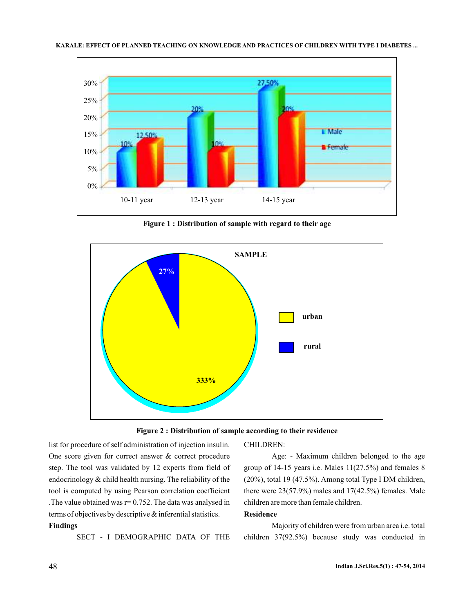

**Figure 1 : Distribution of sample with regard to their age**





list for procedure of self administration of injection insulin. One score given for correct answer & correct procedure step. The tool was validated by 12 experts from field of endocrinology & child health nursing. The reliability of the tool is computed by using Pearson correlation coefficient . The value obtained was  $r = 0.752$ . The data was analysed in terms of objectives by descriptive & inferential statistics.

## **Findings**

SECT - I DEMOGRAPHIC DATA OF THE

CHILDREN:

Age: - Maximum children belonged to the age group of 14-15 years i.e. Males 11(27.5%) and females 8 (20%), total 19 (47.5%). Among total Type I DM children, there were  $23(57.9\%)$  males and  $17(42.5\%)$  females. Male children are more than female children.

### **Residence**

Majority of children were from urban area i.e. total children 37(92.5%) because study was conducted in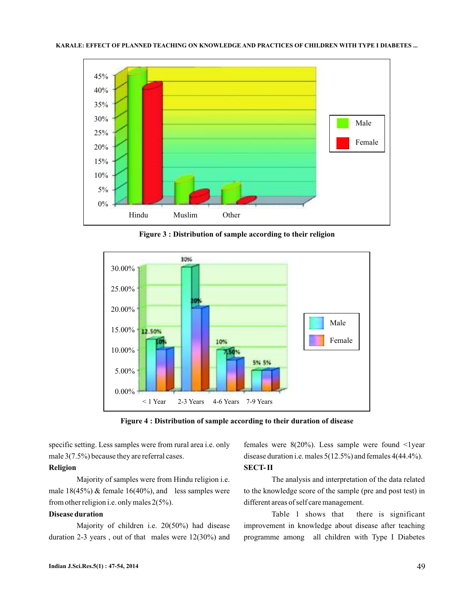

**Figure 3 : Distribution of sample according to their religion**



**Figure 4 : Distribution of sample according to their duration of disease**

specific setting. Less samples were from rural area i.e. only male 3(7.5%) because they are referral cases.

### **Religion**

Majority of samples were from Hindu religion i.e. male  $18(45%)$  & female  $16(40%)$ , and less samples were from other religion i.e. only males 2(5%).

### **Disease duration**

Majority of children i.e. 20(50%) had disease duration 2-3 years , out of that males were 12(30%) and females were  $8(20\%)$ . Less sample were found  $\leq$ lyear disease duration i.e. males 5(12.5%) and females 4(44.4%). **SECT- II**

The analysis and interpretation of the data related to the knowledge score of the sample (pre and post test) in different areas of self care management.

Table 1 shows that there is significant improvement in knowledge about disease after teaching programme among all children with Type I Diabetes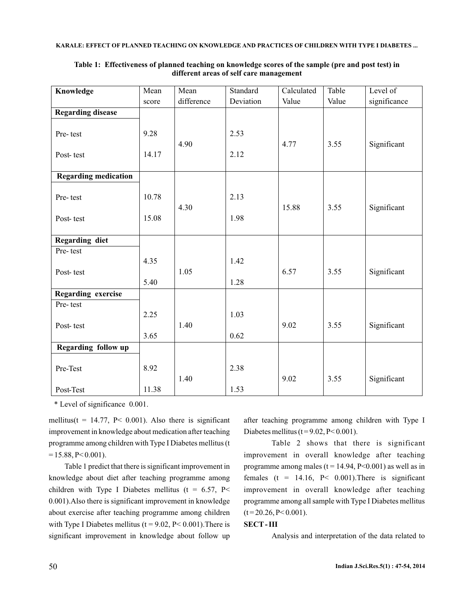#### **KARALE: EFFECT OF PLANNED TEACHING ON KNOWLEDGE AND PRACTICES OF CHILDREN WITH TYPE I DIABETES ...**

| Knowledge                                         | Mean          | Mean       | Standard     | Calculated | Table | Level of     |
|---------------------------------------------------|---------------|------------|--------------|------------|-------|--------------|
|                                                   | score         | difference | Deviation    | Value      | Value | significance |
| <b>Regarding disease</b><br>Pre-test<br>Post-test | 9.28<br>14.17 | 4.90       | 2.53<br>2.12 | 4.77       | 3.55  | Significant  |
| <b>Regarding medication</b>                       |               |            |              |            |       |              |
| Pre-test                                          | 10.78         | 4.30       | 2.13         | 15.88      | 3.55  | Significant  |
| Post-test                                         | 15.08         |            | 1.98         |            |       |              |
| Regarding diet                                    |               |            |              |            |       |              |
| Pre-test<br>Post-test                             | 4.35          | 1.05       | 1.42         | 6.57       | 3.55  | Significant  |
|                                                   | 5.40          |            | 1.28         |            |       |              |
| Regarding exercise                                |               |            |              |            |       |              |
| Pre-test<br>Post-test                             | 2.25          | 1.40       | 1.03         | 9.02       | 3.55  | Significant  |
|                                                   | 3.65          |            | 0.62         |            |       |              |
| Regarding follow up                               |               |            |              |            |       |              |
| Pre-Test                                          | 8.92          | 1.40       | 2.38         | 9.02       | 3.55  | Significant  |
| Post-Test                                         | 11.38         |            | 1.53         |            |       |              |

#### **Table 1: Effectiveness of planned teaching on knowledge scores of the sample (pre and post test) in different areas of self care management**

\* Level of significance 0.001.

mellitus(t = 14.77, P< 0.001). Also there is significant improvement in knowledge about medication after teaching programme among children with Type I Diabetes mellitus (t  $= 15.88$ , P $< 0.001$ ).

Table 1 predict that there is significant improvement in knowledge about diet after teaching programme among children with Type I Diabetes mellitus (t =  $6.57$ , P< 0.001).Also there is significant improvement in knowledge about exercise after teaching programme among children with Type I Diabetes mellitus ( $t = 9.02$ ,  $P < 0.001$ ). There is significant improvement in knowledge about follow up

after teaching programme among children with Type I Diabetes mellitus ( $t = 9.02$ ,  $P < 0.001$ ).

Table 2 shows that there is significant improvement in overall knowledge after teaching programme among males ( $t = 14.94$ ,  $P < 0.001$ ) as well as in females (t = 14.16,  $P < 0.001$ ). There is significant improvement in overall knowledge after teaching programme among all sample with Type I Diabetes mellitus  $(t = 20.26, P < 0.001)$ .

### **SECT - III**

Analysis and interpretation of the data related to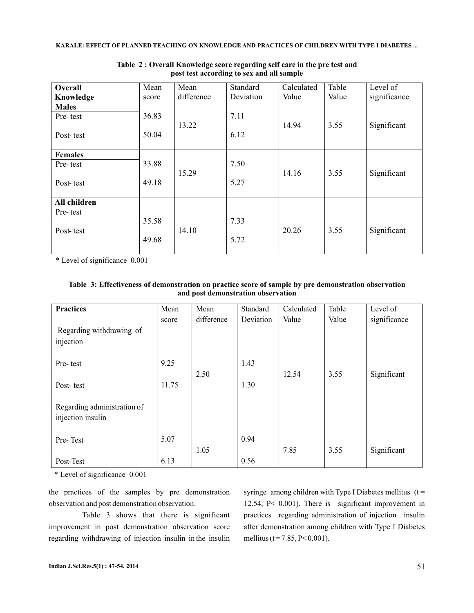#### **KARALE: EFFECT OF PLANNED TEACHING ON KNOWLEDGE AND PRACTICES OF CHILDREN WITH TYPE I DIABETES ...**

| Overall<br>Knowledge | Mean<br>score | Mean<br>difference | Standard<br>Deviation | Calculated<br>Value | Table<br>Value | Level of<br>significance |
|----------------------|---------------|--------------------|-----------------------|---------------------|----------------|--------------------------|
| <b>Males</b>         |               |                    |                       |                     |                |                          |
| Pre-test             | 36.83         |                    | 7.11                  |                     |                |                          |
|                      |               | 13.22              |                       | 14.94               | 3.55           | Significant              |
| Post-test            | 50.04         |                    | 6.12                  |                     |                |                          |
|                      |               |                    |                       |                     |                |                          |
| <b>Females</b>       |               |                    |                       |                     |                |                          |
| Pre-test             | 33.88         |                    | 7.50                  |                     |                |                          |
|                      |               | 15.29              |                       | 14.16               | 3.55           | Significant              |
| Post-test            | 49.18         |                    | 5.27                  |                     |                |                          |
| All children         |               |                    |                       |                     |                |                          |
|                      |               |                    |                       |                     |                |                          |
| Pre-test             |               |                    |                       |                     |                |                          |
|                      | 35.58         |                    | 7.33                  |                     |                |                          |
| Post-test            |               | 14.10              |                       | 20.26               | 3.55           | Significant              |
|                      | 49.68         |                    | 5.72                  |                     |                |                          |
|                      |               |                    |                       |                     |                |                          |

**Table 2 : Overall Knowledge score regarding self care in the pre test and post test according to sex and all sample**

\* Level of significance 0.001

| Table 3: Effectiveness of demonstration on practice score of sample by pre demonstration observation |
|------------------------------------------------------------------------------------------------------|
| and post demonstration observation                                                                   |

| <b>Practices</b>                      | Mean  | Mean       | Standard  | Calculated | Table | Level of     |
|---------------------------------------|-------|------------|-----------|------------|-------|--------------|
|                                       | score | difference | Deviation | Value      | Value | significance |
| Regarding withdrawing of<br>injection |       |            |           |            |       |              |
| Pre-test                              | 9.25  | 2.50       | 1.43      | 12.54      | 3.55  | Significant  |
| Post-test                             | 11.75 |            | 1.30      |            |       |              |
| Regarding administration of           |       |            |           |            |       |              |
| injection insulin                     |       |            |           |            |       |              |
| Pre-Test                              | 5.07  | 1.05       | 0.94      | 7.85       | 3.55  | Significant  |
| Post-Test                             | 6.13  |            | 0.56      |            |       |              |

\* Level of significance 0.001

the practices of the samples by pre demonstration observation and post demonstration observation.

Table 3 shows that there is significant improvement in post demonstration observation score regarding withdrawing of injection insulin in the insulin

syringe among children with Type I Diabetes mellitus  $(t =$ 12.54, P< 0.001). There is significant improvement in practices regarding administration of injection insulin after demonstration among children with Type I Diabetes mellitus (t = 7.85, P < 0.001).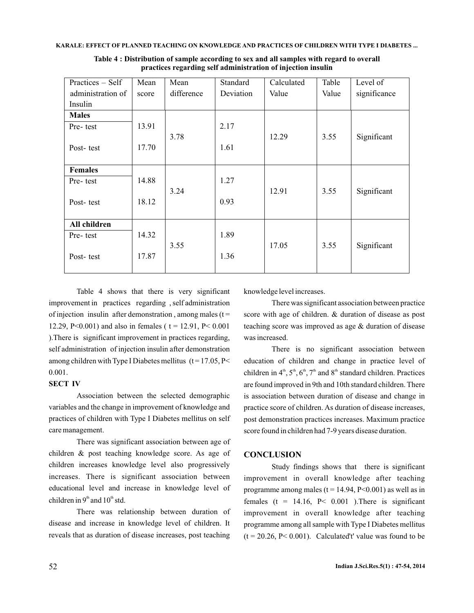| Practices $-$ Self | Mean  | Mean       | Standard  | Calculated | Table | Level of     |
|--------------------|-------|------------|-----------|------------|-------|--------------|
| administration of  | score | difference | Deviation | Value      | Value | significance |
| Insulin            |       |            |           |            |       |              |
| <b>Males</b>       |       |            |           |            |       |              |
| Pre-test           | 13.91 |            | 2.17      |            |       |              |
|                    |       | 3.78       |           | 12.29      | 3.55  | Significant  |
| Post-test          | 17.70 |            | 1.61      |            |       |              |
|                    |       |            |           |            |       |              |
| <b>Females</b>     |       |            |           |            |       |              |
| Pre-test           | 14.88 |            | 1.27      |            |       |              |
|                    |       | 3.24       |           | 12.91      | 3.55  | Significant  |
| Post-test          | 18.12 |            | 0.93      |            |       |              |
|                    |       |            |           |            |       |              |
| All children       |       |            |           |            |       |              |
| Pre-test           | 14.32 |            | 1.89      |            |       |              |
|                    |       | 3.55       |           | 17.05      | 3.55  | Significant  |
| Post-test          | 17.87 |            | 1.36      |            |       |              |
|                    |       |            |           |            |       |              |

**Table 4 : Distribution of sample according to sex and all samples with regard to overall practices regarding self administration of injection insulin**

Table 4 shows that there is very significant improvement in practices regarding , self administration of injection insulin after demonstration, among males  $(t =$ 12.29, P<0.001) and also in females ( $t = 12.91$ , P<0.001 ).There is significant improvement in practices regarding, self administration of injection insulin after demonstration among children with Type I Diabetes mellitus  $(t = 17.05, P <$ 0.001.

### **SECT IV**

Association between the selected demographic variables and the change in improvement of knowledge and practices of children with Type I Diabetes mellitus on self care management.

There was significant association between age of children & post teaching knowledge score. As age of children increases knowledge level also progressively increases. There is significant association between educational level and increase in knowledge level of children in  $9<sup>th</sup>$  and  $10<sup>th</sup>$  std.

There was relationship between duration of disease and increase in knowledge level of children. It reveals that as duration of disease increases, post teaching

knowledge level increases.

There was significant association between practice score with age of children. & duration of disease as post teaching score was improved as age & duration of disease was increased.

There is no significant association between education of children and change in practice level of children in  $4^{\text{th}}$ ,  $5^{\text{th}}$ ,  $6^{\text{th}}$ ,  $7^{\text{th}}$  and  $8^{\text{th}}$  standard children. Practices are found improved in 9th and 10th standard children. There is association between duration of disease and change in practice score of children. As duration of disease increases, post demonstration practices increases. Maximum practice score found in children had 7-9 years disease duration.

### **CONCLUSION**

Study findings shows that there is significant improvement in overall knowledge after teaching programme among males ( $t = 14.94$ ,  $P < 0.001$ ) as well as in females ( $t = 14.16$ ,  $P < 0.001$ ). There is significant improvement in overall knowledge after teaching programme among all sample with Type I Diabetes mellitus  $(t = 20.26, P < 0.001)$ . Calculated't' value was found to be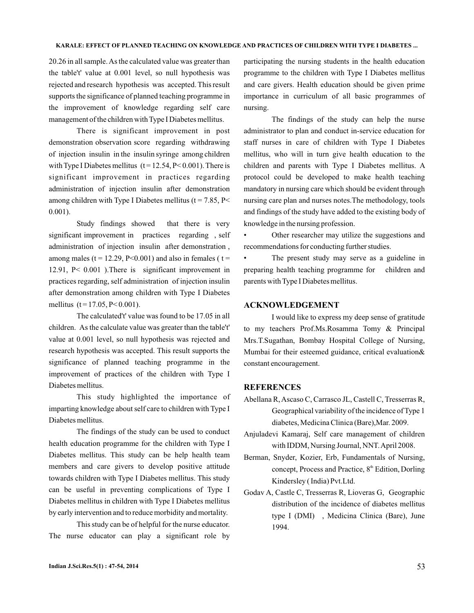20.26 in all sample.As the calculated value was greater than the table't' value at 0.001 level, so null hypothesis was rejected and research hypothesis was accepted. This result supports the significance of planned teaching programme in the improvement of knowledge regarding self care management of the children with Type I Diabetes mellitus.

There is significant improvement in post demonstration observation score regarding withdrawing of injection insulin in the insulin syringe among children with Type I Diabetes mellitus  $(t = 12.54, P < 0.001)$ . There is significant improvement in practices regarding administration of injection insulin after demonstration among children with Type I Diabetes mellitus ( $t = 7.85$ , P< 0.001).

Study findings showed that there is very significant improvement in practices regarding , self administration of injection insulin after demonstration , among males ( $t = 12.29$ , P<0.001) and also in females ( $t =$ 12.91, P< 0.001 ).There is significant improvement in practices regarding, self administration of injection insulin after demonstration among children with Type I Diabetes mellitus  $(t = 17.05, P < 0.001)$ .

The calculated't' value was found to be 17.05 in all children. As the calculate value was greater than the table't' value at 0.001 level, so null hypothesis was rejected and research hypothesis was accepted. This result supports the significance of planned teaching programme in the improvement of practices of the children with Type I Diabetes mellitus.

This study highlighted the importance of imparting knowledge about self care to children with Type I Diabetes mellitus.

The findings of the study can be used to conduct health education programme for the children with Type I Diabetes mellitus. This study can be help health team members and care givers to develop positive attitude towards children with Type I Diabetes mellitus. This study can be useful in preventing complications of Type I Diabetes mellitus in children with Type I Diabetes mellitus by early intervention and to reduce morbidity and mortality.

This study can be of helpful for the nurse educator. The nurse educator can play a significant role by participating the nursing students in the health education programme to the children with Type I Diabetes mellitus and care givers. Health education should be given prime importance in curriculum of all basic programmes of nursing.

The findings of the study can help the nurse administrator to plan and conduct in-service education for staff nurses in care of children with Type I Diabetes mellitus, who will in turn give health education to the children and parents with Type I Diabetes mellitus. A protocol could be developed to make health teaching mandatory in nursing care which should be evident through nursing care plan and nurses notes.The methodology, tools and findings of the study have added to the existing body of knowledge in the nursing profession.

• Other researcher may utilize the suggestions and recommendations for conducting further studies.

The present study may serve as a guideline in preparing health teaching programme for children and parents with Type I Diabetes mellitus.

### **ACKNOWLEDGEMENT**

I would like to express my deep sense of gratitude to my teachers Prof.Ms.Rosamma Tomy & Principal Mrs.T.Sugathan, Bombay Hospital College of Nursing, Mumbai for their esteemed guidance, critical evaluation& constant encouragement.

### **REFERENCES**

- Abellana R, Ascaso C, Carrasco JL, Castell C, Tresserras R, Geographical variability of the incidence of Type 1 diabetes, Medicina Clinica (Bare),Mar. 2009.
- Anjuladevi Kamaraj, Self care management of children with IDDM, Nursing Journal, NNT.April 2008.
- Berman, Snyder, Kozier, Erb, Fundamentals of Nursing, concept, Process and Practice, 8<sup>th</sup> Edition, Dorling Kindersley ( India) Pvt.Ltd.
- Godav A, Castle C, Tresserras R, Lioveras G, Geographic distribution of the incidence of diabetes mellitus type I (DMI) , Medicina Clinica (Bare), June 1994.